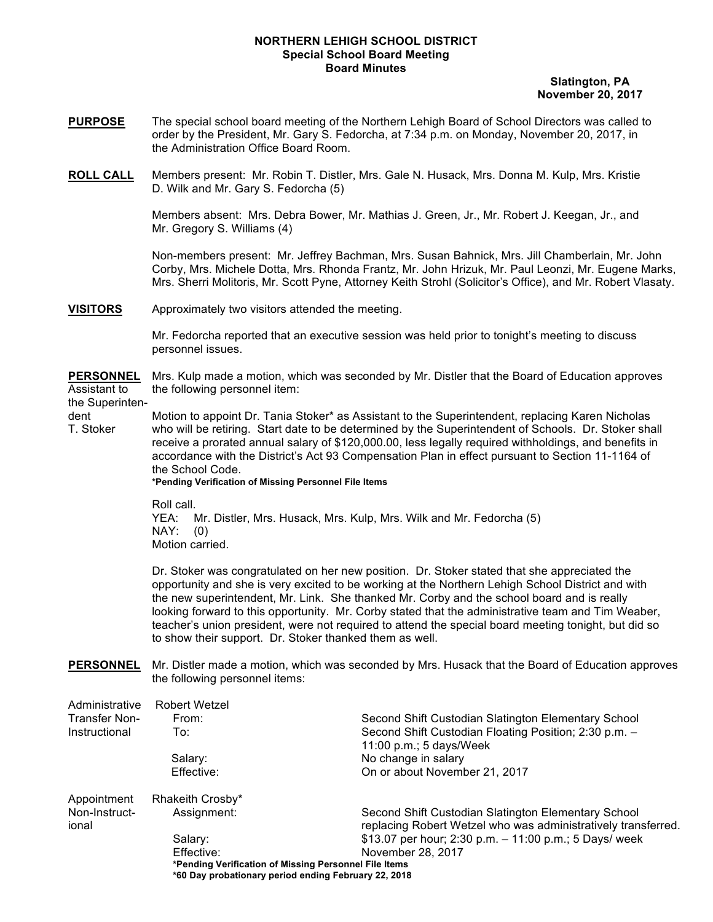## **NORTHERN LEHIGH SCHOOL DISTRICT Special School Board Meeting Board Minutes**

 **Slatington, PA November 20, 2017**

- **PURPOSE** The special school board meeting of the Northern Lehigh Board of School Directors was called to order by the President, Mr. Gary S. Fedorcha, at 7:34 p.m. on Monday, November 20, 2017, in the Administration Office Board Room.
- **ROLL CALL** Members present: Mr. Robin T. Distler, Mrs. Gale N. Husack, Mrs. Donna M. Kulp, Mrs. Kristie D. Wilk and Mr. Gary S. Fedorcha (5)

Members absent: Mrs. Debra Bower, Mr. Mathias J. Green, Jr., Mr. Robert J. Keegan, Jr., and Mr. Gregory S. Williams (4)

Non-members present: Mr. Jeffrey Bachman, Mrs. Susan Bahnick, Mrs. Jill Chamberlain, Mr. John Corby, Mrs. Michele Dotta, Mrs. Rhonda Frantz, Mr. John Hrizuk, Mr. Paul Leonzi, Mr. Eugene Marks, Mrs. Sherri Molitoris, Mr. Scott Pyne, Attorney Keith Strohl (Solicitor's Office), and Mr. Robert Vlasaty.

**VISITORS** Approximately two visitors attended the meeting.

Mr. Fedorcha reported that an executive session was held prior to tonight's meeting to discuss personnel issues.

**PERSONNEL** Mrs. Kulp made a motion, which was seconded by Mr. Distler that the Board of Education approves Assistant to the following personnel item:

the Superinten-

dent Motion to appoint Dr. Tania Stoker\* as Assistant to the Superintendent, replacing Karen Nicholas<br>T. Stoker who will be retiring. Start date to be determined by the Superintendent of Schools. Dr. Stoker sha who will be retiring. Start date to be determined by the Superintendent of Schools. Dr. Stoker shall receive a prorated annual salary of \$120,000.00, less legally required withholdings, and benefits in accordance with the District's Act 93 Compensation Plan in effect pursuant to Section 11-1164 of the School Code.

**\*Pending Verification of Missing Personnel File Items**

Roll call. YEA: Mr. Distler, Mrs. Husack, Mrs. Kulp, Mrs. Wilk and Mr. Fedorcha (5) NAY: (0)

Motion carried.

Dr. Stoker was congratulated on her new position. Dr. Stoker stated that she appreciated the opportunity and she is very excited to be working at the Northern Lehigh School District and with the new superintendent, Mr. Link. She thanked Mr. Corby and the school board and is really looking forward to this opportunity. Mr. Corby stated that the administrative team and Tim Weaber, teacher's union president, were not required to attend the special board meeting tonight, but did so to show their support. Dr. Stoker thanked them as well.

**PERSONNEL** Mr. Distler made a motion, which was seconded by Mrs. Husack that the Board of Education approves the following personnel items:

| Administrative         | <b>Robert Wetzel</b> |                                                                                                                      |
|------------------------|----------------------|----------------------------------------------------------------------------------------------------------------------|
| <b>Transfer Non-</b>   | From:                | Second Shift Custodian Slatington Elementary School                                                                  |
| Instructional          | To:                  | Second Shift Custodian Floating Position; 2:30 p.m. -<br>11:00 p.m.; 5 days/Week                                     |
|                        | Salary:              | No change in salary                                                                                                  |
|                        | Effective:           | On or about November 21, 2017                                                                                        |
| Appointment            | Rhakeith Crosby*     |                                                                                                                      |
| Non-Instruct-<br>ional | Assignment:          | Second Shift Custodian Slatington Elementary School<br>replacing Robert Wetzel who was administratively transferred. |
|                        | Salary:              | \$13.07 per hour; 2:30 p.m. $-$ 11:00 p.m.; 5 Days/ week                                                             |
|                        | Effective:           | November 28, 2017                                                                                                    |
|                        |                      | *Pending Verification of Missing Personnel File Items<br>*60 Day probationary period ending February 22, 2018        |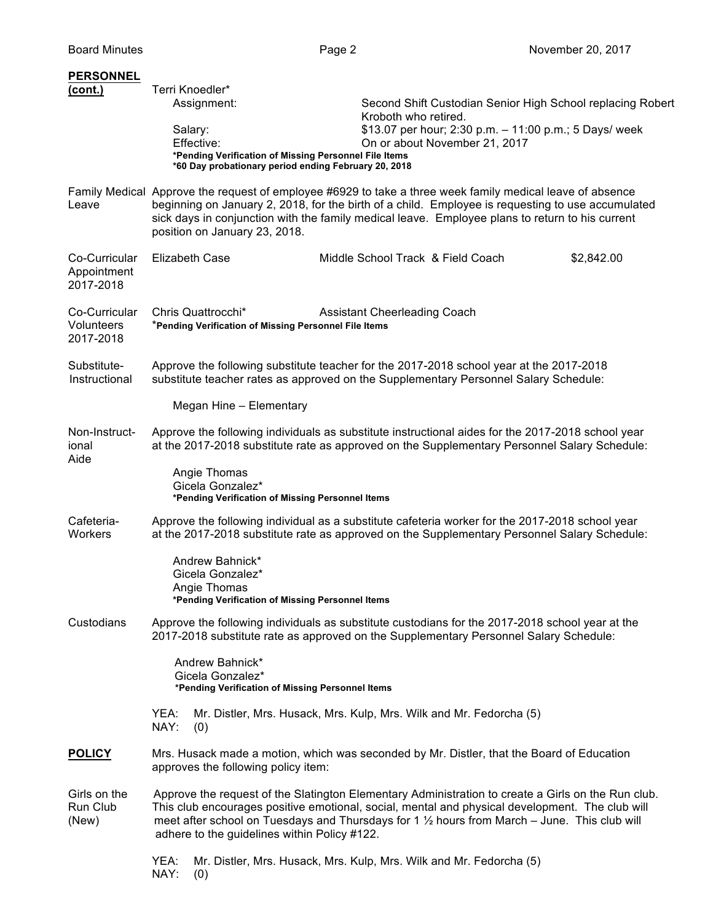| <b>PERSONNEL</b>                          |                                                                                                                                                                                                                                                                                                                                                           |  |  |
|-------------------------------------------|-----------------------------------------------------------------------------------------------------------------------------------------------------------------------------------------------------------------------------------------------------------------------------------------------------------------------------------------------------------|--|--|
| (cont.)                                   | Terri Knoedler*<br>Assignment:<br>Second Shift Custodian Senior High School replacing Robert<br>Kroboth who retired.<br>\$13.07 per hour; 2:30 p.m. - 11:00 p.m.; 5 Days/ week<br>Salary:<br>Effective:<br>On or about November 21, 2017<br>*Pending Verification of Missing Personnel File Items<br>*60 Day probationary period ending February 20, 2018 |  |  |
| Leave                                     | Family Medical Approve the request of employee #6929 to take a three week family medical leave of absence<br>beginning on January 2, 2018, for the birth of a child. Employee is requesting to use accumulated<br>sick days in conjunction with the family medical leave. Employee plans to return to his current<br>position on January 23, 2018.        |  |  |
| Co-Curricular<br>Appointment<br>2017-2018 | <b>Elizabeth Case</b><br>Middle School Track & Field Coach<br>\$2,842.00                                                                                                                                                                                                                                                                                  |  |  |
| Co-Curricular<br>Volunteers<br>2017-2018  | Chris Quattrocchi*<br><b>Assistant Cheerleading Coach</b><br>*Pending Verification of Missing Personnel File Items                                                                                                                                                                                                                                        |  |  |
| Substitute-<br>Instructional              | Approve the following substitute teacher for the 2017-2018 school year at the 2017-2018<br>substitute teacher rates as approved on the Supplementary Personnel Salary Schedule:                                                                                                                                                                           |  |  |
|                                           | Megan Hine - Elementary                                                                                                                                                                                                                                                                                                                                   |  |  |
| Non-Instruct-<br>ional<br>Aide            | Approve the following individuals as substitute instructional aides for the 2017-2018 school year<br>at the 2017-2018 substitute rate as approved on the Supplementary Personnel Salary Schedule:                                                                                                                                                         |  |  |
|                                           | Angie Thomas<br>Gicela Gonzalez*<br>*Pending Verification of Missing Personnel Items                                                                                                                                                                                                                                                                      |  |  |
| Cafeteria-<br>Workers                     | Approve the following individual as a substitute cafeteria worker for the 2017-2018 school year<br>at the 2017-2018 substitute rate as approved on the Supplementary Personnel Salary Schedule:                                                                                                                                                           |  |  |
|                                           | Andrew Bahnick*<br>Gicela Gonzalez*<br>Angie Thomas<br>*Pending Verification of Missing Personnel Items                                                                                                                                                                                                                                                   |  |  |
| Custodians                                | Approve the following individuals as substitute custodians for the 2017-2018 school year at the<br>2017-2018 substitute rate as approved on the Supplementary Personnel Salary Schedule:                                                                                                                                                                  |  |  |
|                                           | Andrew Bahnick*<br>Gicela Gonzalez*<br>*Pending Verification of Missing Personnel Items                                                                                                                                                                                                                                                                   |  |  |
|                                           | YEA:<br>Mr. Distler, Mrs. Husack, Mrs. Kulp, Mrs. Wilk and Mr. Fedorcha (5)<br>NAY:<br>(0)                                                                                                                                                                                                                                                                |  |  |
| <b>POLICY</b>                             | Mrs. Husack made a motion, which was seconded by Mr. Distler, that the Board of Education<br>approves the following policy item:                                                                                                                                                                                                                          |  |  |
| Girls on the<br>Run Club<br>(New)         | Approve the request of the Slatington Elementary Administration to create a Girls on the Run club.<br>This club encourages positive emotional, social, mental and physical development. The club will<br>meet after school on Tuesdays and Thursdays for 1 1/2 hours from March - June. This club will<br>adhere to the guidelines within Policy #122.    |  |  |
|                                           | YEA:<br>Mr. Distler, Mrs. Husack, Mrs. Kulp, Mrs. Wilk and Mr. Fedorcha (5)<br>NAY:<br>(0)                                                                                                                                                                                                                                                                |  |  |